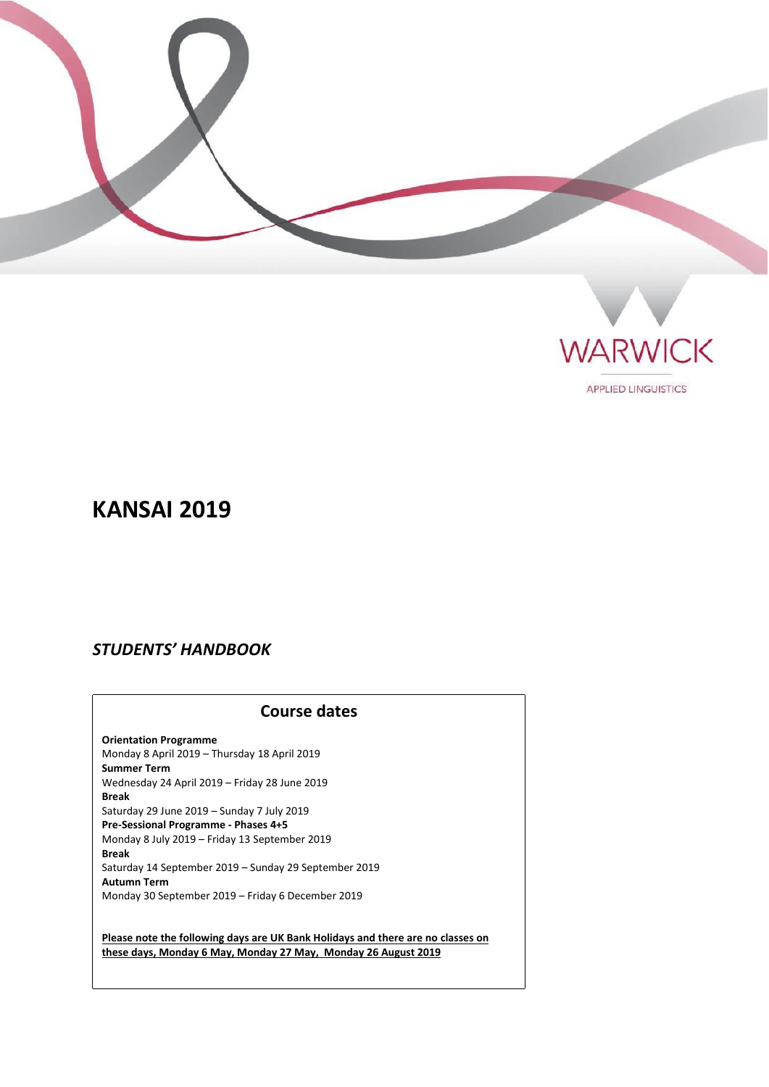



**APPLIED LINGUISTICS** 

# **KANSAI 2019**

# *STUDENTS' HANDBOOK*

### **Course dates**

**Orientation Programme** Monday 8 April 2019 – Thursday 18 April 2019 **Summer Term** Wednesday 24 April 2019 – Friday 28 June 2019 **Break** Saturday 29 June 2019 – Sunday 7 July 2019 **Pre-Sessional Programme - Phases 4+5** Monday 8 July 2019 – Friday 13 September 2019 **Break** Saturday 14 September 2019 – Sunday 29 September 2019 **Autumn Term** Monday 30 September 2019 – Friday 6 December 2019

**Please note the following days are UK Bank Holidays and there are no classes on these days, Monday 6 May, Monday 27 May, Monday 26 August 2019**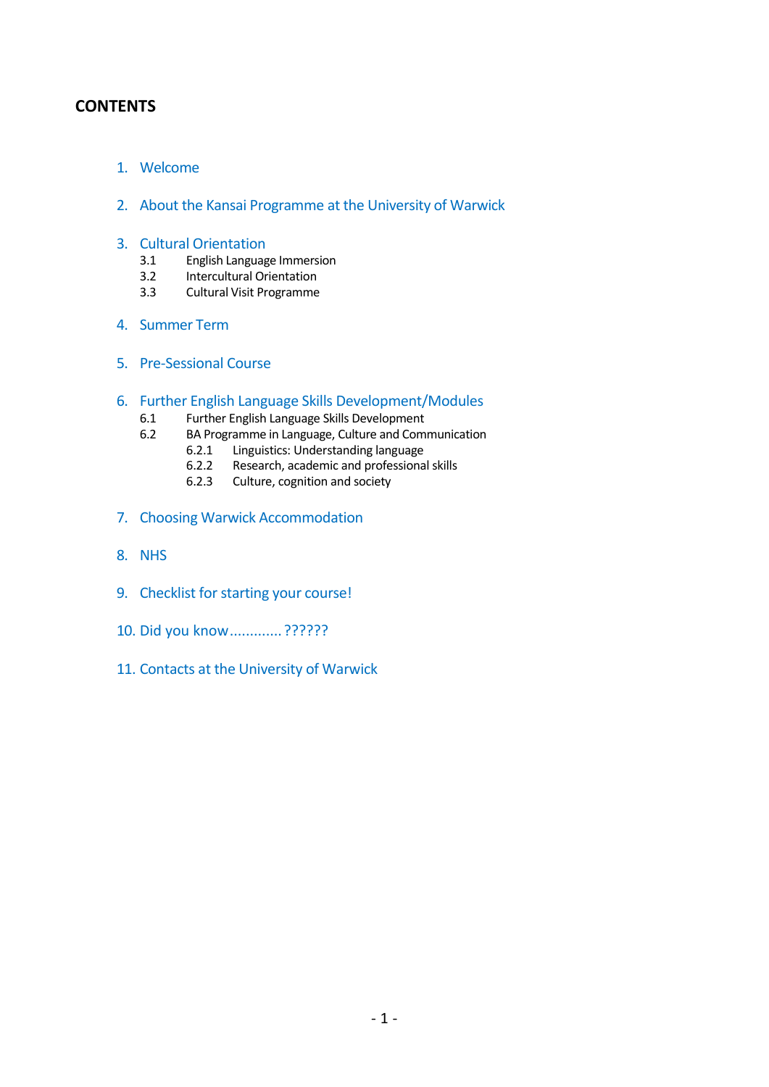### **CONTENTS**

- 1. Welcome
- 2. About the Kansai Programme at the University of Warwick
- 3. Cultural Orientation<br>3.1 English Languag
	- 3.1 English Language Immersion<br>3.2 Intercultural Orientation
	- 3.2 Intercultural Orientation<br>3.3 Cultural Visit Programme
	- 3.3 Cultural Visit Programme
- 4. Summer Term
- 5. Pre-Sessional Course
- 6. Further English Language Skills Development/Modules
	- 6.1 Further English Language Skills Development<br>6.2 BA Programme in Language. Culture and Comi
	- BA Programme in Language, Culture and Communication<br>6.2.1 Linguistics: Understanding language
		- 6.2.1 Linguistics: Understanding language<br>6.2.2 Research, academic and professiona
		- 6.2.2 Research, academic and professional skills<br>6.2.3 Culture, cognition and society
		- Culture, cognition and society
- 7. Choosing Warwick Accommodation
- 8. NHS
- 9. Checklist for starting your course!
- 10. Did you know............. ??????
- 11. Contacts at the University of Warwick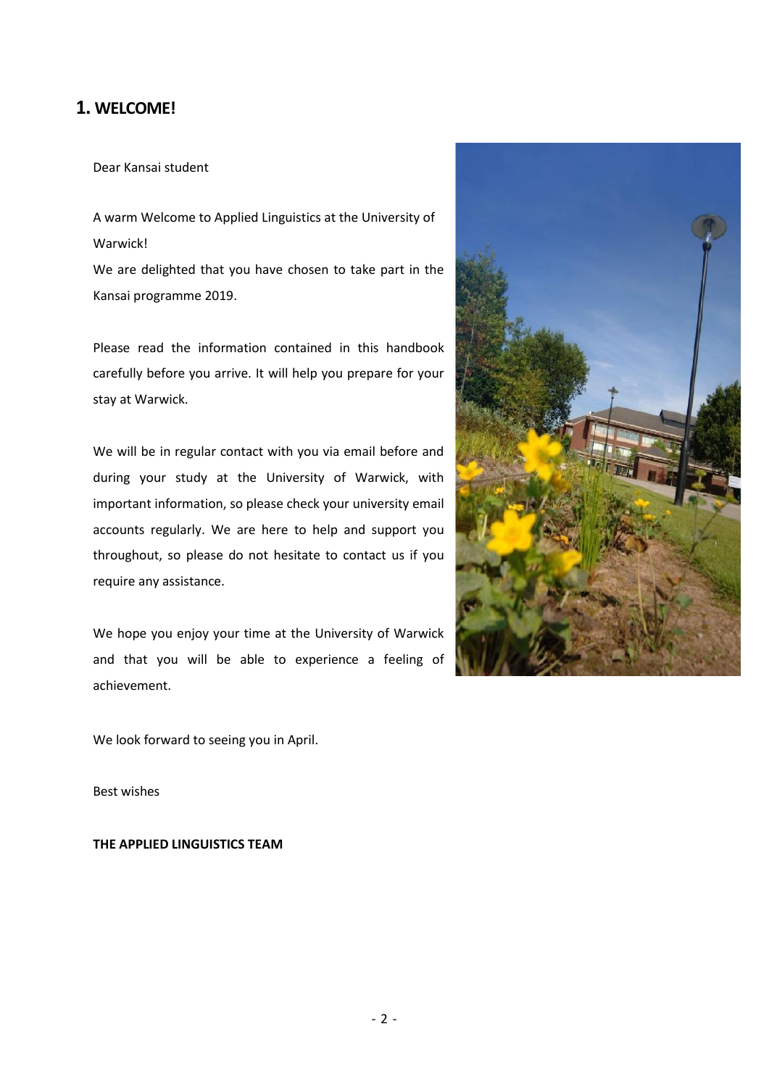# **1. WELCOME!**

Dear Kansai student

A warm Welcome to Applied Linguistics at the University of Warwick! We are delighted that you have chosen to take part in the

Kansai programme 2019.

Please read the information contained in this handbook carefully before you arrive. It will help you prepare for your stay at Warwick.

We will be in regular contact with you via email before and during your study at the University of Warwick, with important information, so please check your university email accounts regularly. We are here to help and support you throughout, so please do not hesitate to contact us if you require any assistance.

We hope you enjoy your time at the University of Warwick and that you will be able to experience a feeling of achievement.



We look forward to seeing you in April.

Best wishes

**THE APPLIED LINGUISTICS TEAM**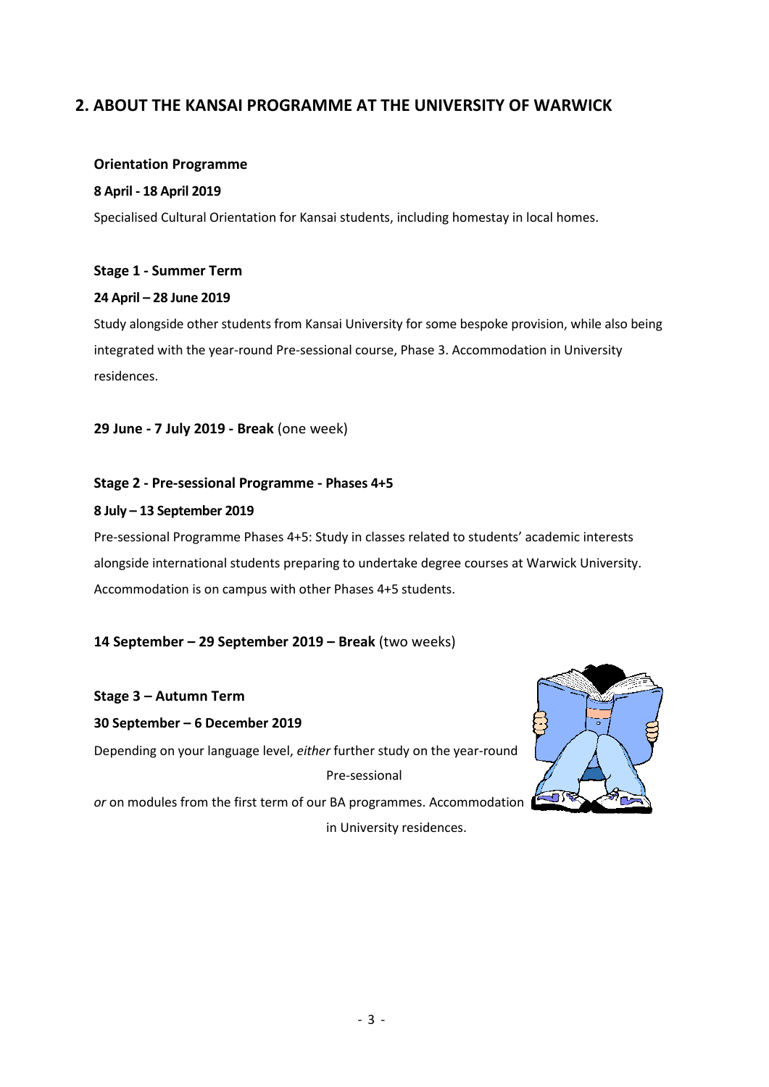# **2. ABOUT THE KANSAI PROGRAMME AT THE UNIVERSITY OF WARWICK**

#### **Orientation Programme**

#### **8 April - 18 April 2019**

Specialised Cultural Orientation for Kansai students, including homestay in local homes.

#### **Stage 1 - Summer Term**

#### **24 April – 28 June 2019**

Study alongside other students from Kansai University for some bespoke provision, while also being integrated with the year-round Pre-sessional course, Phase 3. Accommodation in University residences.

**29 June - 7 July 2019 - Break** (one week)

#### **Stage 2 - Pre-sessional Programme - Phases 4+5**

#### **8 July – 13 September 2019**

Pre-sessional Programme Phases 4+5: Study in classes related to students' academic interests alongside international students preparing to undertake degree courses at Warwick University. Accommodation is on campus with other Phases 4+5 students.

#### **14 September – 29 September 2019 – Break** (two weeks)

### **Stage 3 – Autumn Term**

**30 September – 6 December 2019**

Depending on your language level, *either* further study on the year-round Pre-sessional

*or* on modules from the first term of our BA programmes. Accommodation in University residences.

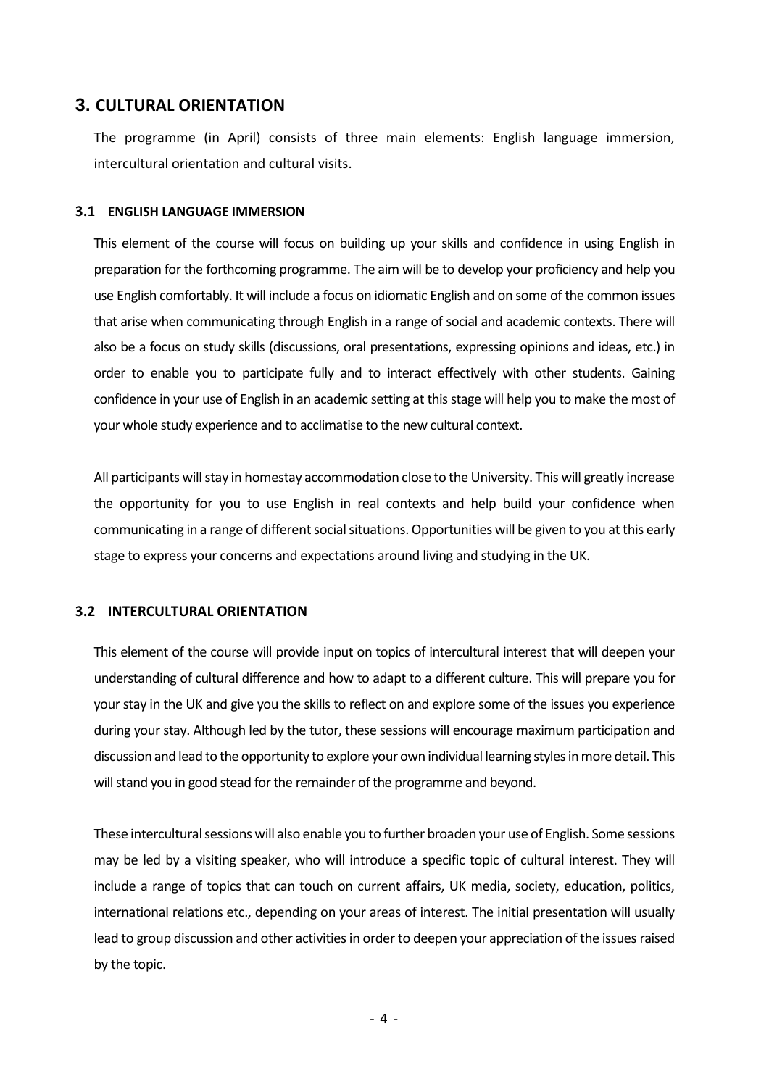### **3. CULTURAL ORIENTATION**

The programme (in April) consists of three main elements: English language immersion, intercultural orientation and cultural visits.

#### **3.1 ENGLISH LANGUAGE IMMERSION**

This element of the course will focus on building up your skills and confidence in using English in preparation for the forthcoming programme. The aim will be to develop your proficiency and help you use English comfortably. It will include a focus on idiomatic English and on some of the common issues that arise when communicating through English in a range of social and academic contexts. There will also be a focus on study skills (discussions, oral presentations, expressing opinions and ideas, etc.) in order to enable you to participate fully and to interact effectively with other students. Gaining confidence in your use of English in an academic setting at this stage will help you to make the most of your whole study experience and to acclimatise to the new cultural context.

All participants will stay in homestay accommodation close to the University. This will greatly increase the opportunity for you to use English in real contexts and help build your confidence when communicating in a range of different social situations. Opportunities will be given to you at this early stage to express your concerns and expectations around living and studying in the UK.

#### **3.2 INTERCULTURAL ORIENTATION**

This element of the course will provide input on topics of intercultural interest that will deepen your understanding of cultural difference and how to adapt to a different culture. This will prepare you for your stay in the UK and give you the skills to reflect on and explore some of the issues you experience during your stay. Although led by the tutor, these sessions will encourage maximum participation and discussion and lead to the opportunity to explore your own individual learning styles in more detail. This will stand you in good stead for the remainder of the programme and beyond.

These intercultural sessions will also enable you to further broaden your use of English. Some sessions may be led by a visiting speaker, who will introduce a specific topic of cultural interest. They will include a range of topics that can touch on current affairs, UK media, society, education, politics, international relations etc., depending on your areas of interest. The initial presentation will usually lead to group discussion and other activities in order to deepen your appreciation of the issues raised by the topic.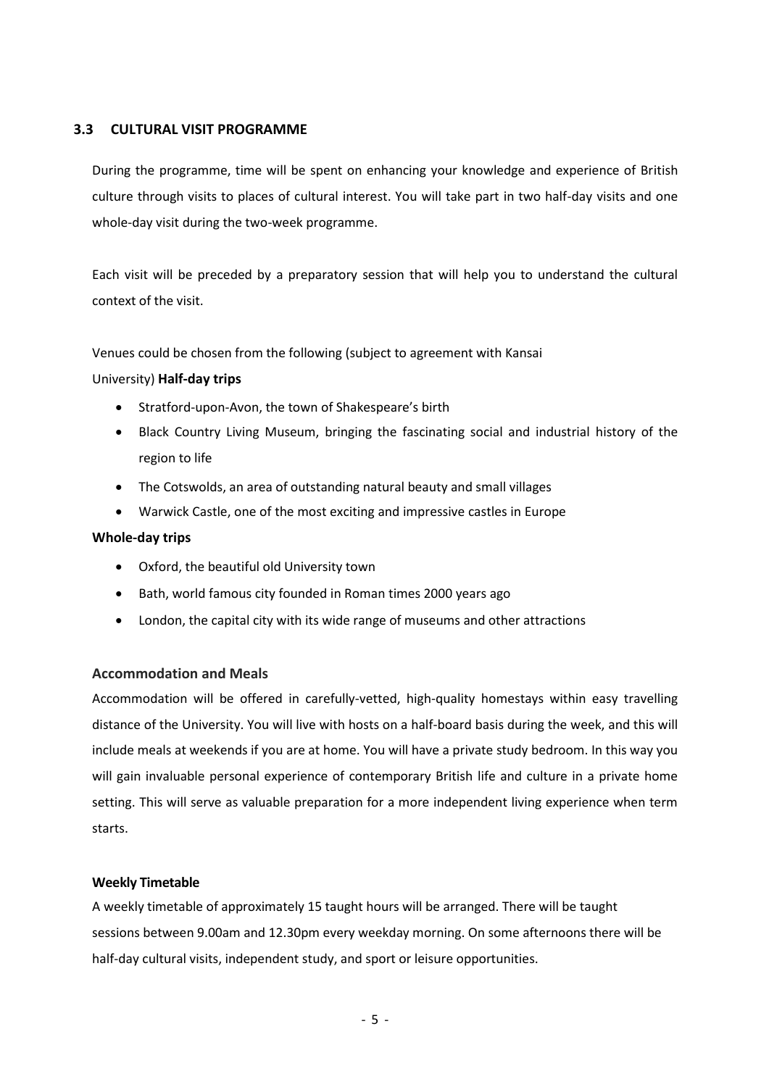#### **3.3 CULTURAL VISIT PROGRAMME**

During the programme, time will be spent on enhancing your knowledge and experience of British culture through visits to places of cultural interest. You will take part in two half-day visits and one whole-day visit during the two-week programme.

Each visit will be preceded by a preparatory session that will help you to understand the cultural context of the visit.

Venues could be chosen from the following (subject to agreement with Kansai

#### University) **Half-day trips**

- Stratford-upon-Avon, the town of Shakespeare's birth
- Black Country Living Museum, bringing the fascinating social and industrial history of the region to life
- The Cotswolds, an area of outstanding natural beauty and small villages
- Warwick Castle, one of the most exciting and impressive castles in Europe

#### **Whole-day trips**

- Oxford, the beautiful old University town
- Bath, world famous city founded in Roman times 2000 years ago
- London, the capital city with its wide range of museums and other attractions

#### **Accommodation and Meals**

Accommodation will be offered in carefully-vetted, high-quality homestays within easy travelling distance of the University. You will live with hosts on a half-board basis during the week, and this will include meals at weekends if you are at home. You will have a private study bedroom. In this way you will gain invaluable personal experience of contemporary British life and culture in a private home setting. This will serve as valuable preparation for a more independent living experience when term starts.

#### **Weekly Timetable**

A weekly timetable of approximately 15 taught hours will be arranged. There will be taught sessions between 9.00am and 12.30pm every weekday morning. On some afternoons there will be half-day cultural visits, independent study, and sport or leisure opportunities.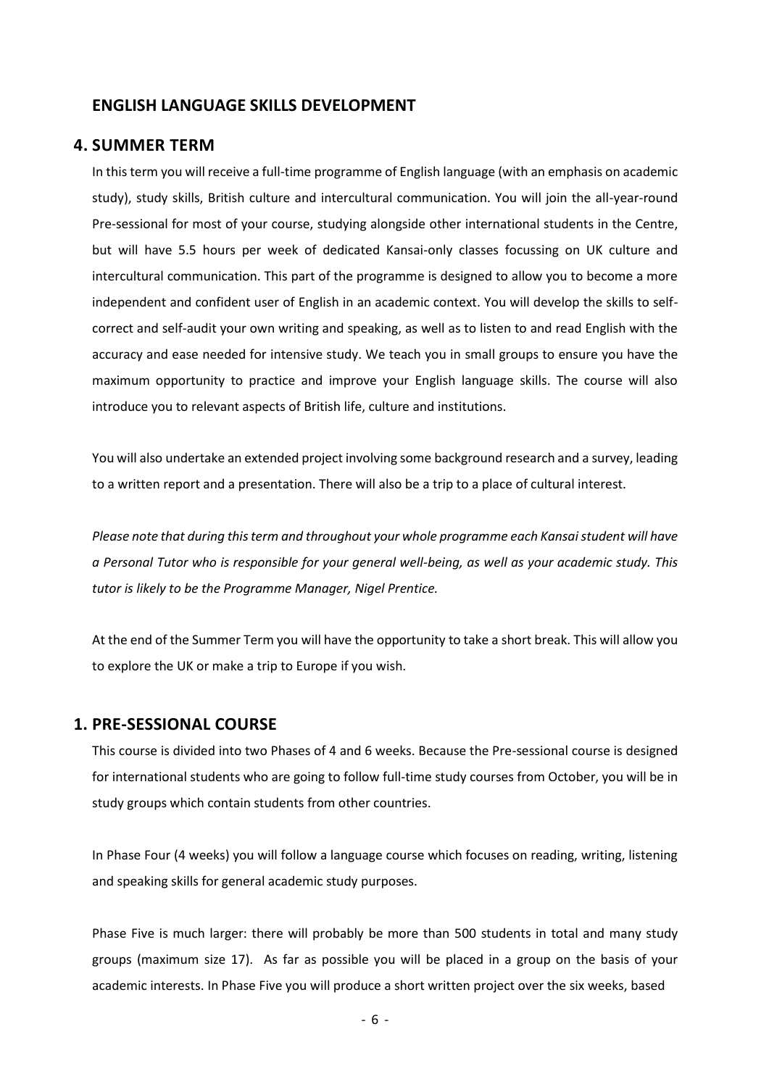#### **ENGLISH LANGUAGE SKILLS DEVELOPMENT**

#### **4. SUMMER TERM**

In this term you will receive a full-time programme of English language (with an emphasis on academic study), study skills, British culture and intercultural communication. You will join the all-year-round Pre-sessional for most of your course, studying alongside other international students in the Centre, but will have 5.5 hours per week of dedicated Kansai-only classes focussing on UK culture and intercultural communication. This part of the programme is designed to allow you to become a more independent and confident user of English in an academic context. You will develop the skills to selfcorrect and self-audit your own writing and speaking, as well as to listen to and read English with the accuracy and ease needed for intensive study. We teach you in small groups to ensure you have the maximum opportunity to practice and improve your English language skills. The course will also introduce you to relevant aspects of British life, culture and institutions.

You will also undertake an extended project involving some background research and a survey, leading to a written report and a presentation. There will also be a trip to a place of cultural interest.

*Please note that during this term and throughout your whole programme each Kansai student will have a Personal Tutor who is responsible for your general well-being, as well as your academic study. This tutor is likely to be the Programme Manager, Nigel Prentice.*

At the end of the Summer Term you will have the opportunity to take a short break. This will allow you to explore the UK or make a trip to Europe if you wish.

#### **1. PRE-SESSIONAL COURSE**

This course is divided into two Phases of 4 and 6 weeks. Because the Pre-sessional course is designed for international students who are going to follow full-time study courses from October, you will be in study groups which contain students from other countries.

In Phase Four (4 weeks) you will follow a language course which focuses on reading, writing, listening and speaking skills for general academic study purposes.

Phase Five is much larger: there will probably be more than 500 students in total and many study groups (maximum size 17). As far as possible you will be placed in a group on the basis of your academic interests. In Phase Five you will produce a short written project over the six weeks, based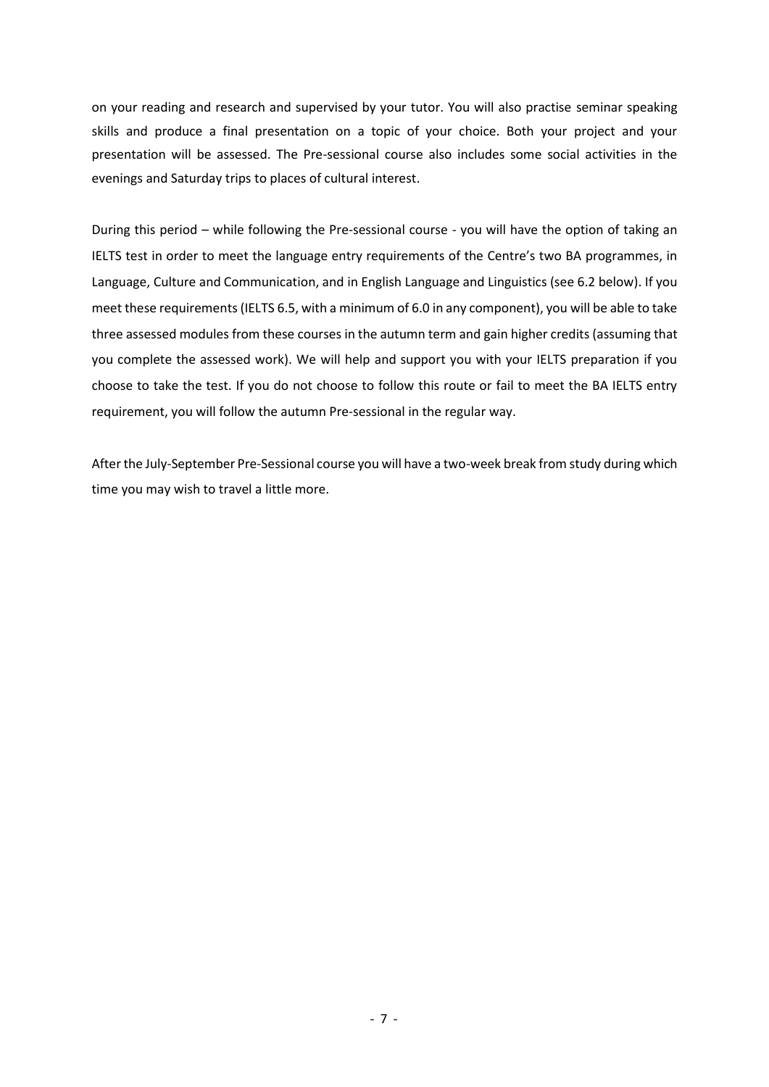on your reading and research and supervised by your tutor. You will also practise seminar speaking skills and produce a final presentation on a topic of your choice. Both your project and your presentation will be assessed. The Pre-sessional course also includes some social activities in the evenings and Saturday trips to places of cultural interest.

During this period – while following the Pre-sessional course - you will have the option of taking an IELTS test in order to meet the language entry requirements of the Centre's two BA programmes, in Language, Culture and Communication, and in English Language and Linguistics (see 6.2 below). If you meet these requirements (IELTS 6.5, with a minimum of 6.0 in any component), you will be able to take three assessed modules from these courses in the autumn term and gain higher credits (assuming that you complete the assessed work). We will help and support you with your IELTS preparation if you choose to take the test. If you do not choose to follow this route or fail to meet the BA IELTS entry requirement, you will follow the autumn Pre-sessional in the regular way.

After the July-September Pre-Sessional course you will have a two-week break from study during which time you may wish to travel a little more.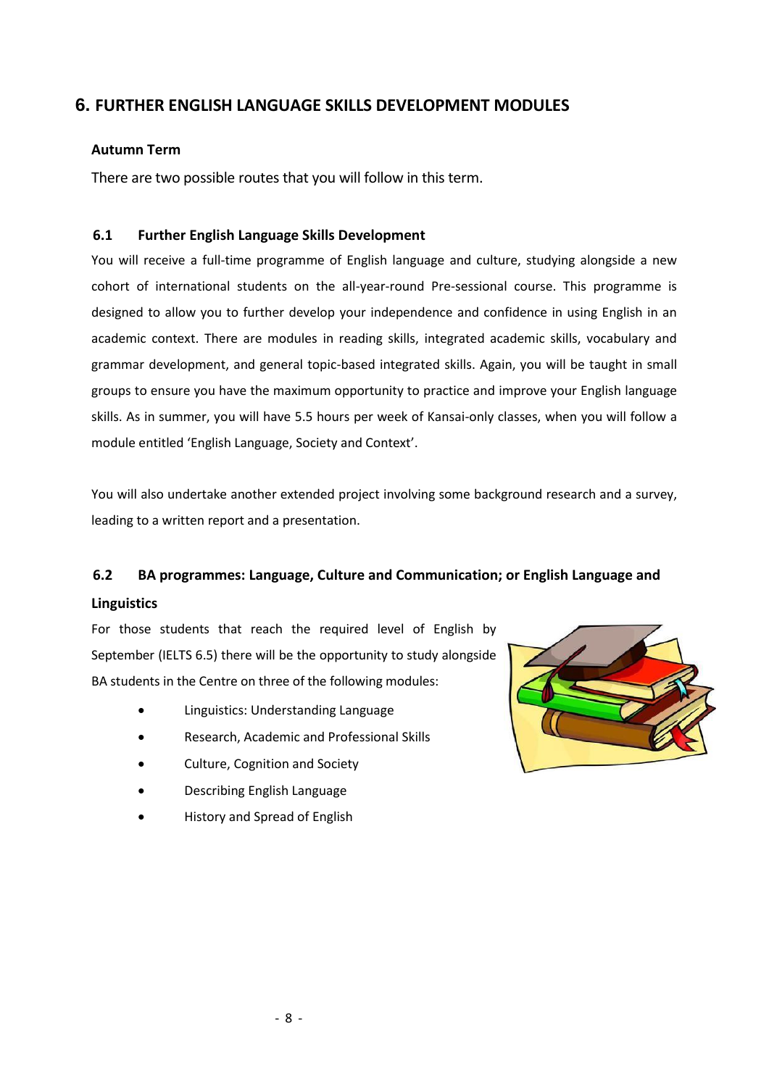# **6. FURTHER ENGLISH LANGUAGE SKILLS DEVELOPMENT MODULES**

#### **Autumn Term**

There are two possible routes that you will follow in this term.

#### **6.1 Further English Language Skills Development**

You will receive a full-time programme of English language and culture, studying alongside a new cohort of international students on the all-year-round Pre-sessional course. This programme is designed to allow you to further develop your independence and confidence in using English in an academic context. There are modules in reading skills, integrated academic skills, vocabulary and grammar development, and general topic-based integrated skills. Again, you will be taught in small groups to ensure you have the maximum opportunity to practice and improve your English language skills. As in summer, you will have 5.5 hours per week of Kansai-only classes, when you will follow a module entitled 'English Language, Society and Context'.

You will also undertake another extended project involving some background research and a survey, leading to a written report and a presentation.

#### **6.2 BA programmes: Language, Culture and Communication; or English Language and**

#### **Linguistics**

For those students that reach the required level of English by September (IELTS 6.5) there will be the opportunity to study alongside BA students in the Centre on three of the following modules:

- Linguistics: Understanding Language
- Research, Academic and Professional Skills
- Culture, Cognition and Society
- Describing English Language
- History and Spread of English

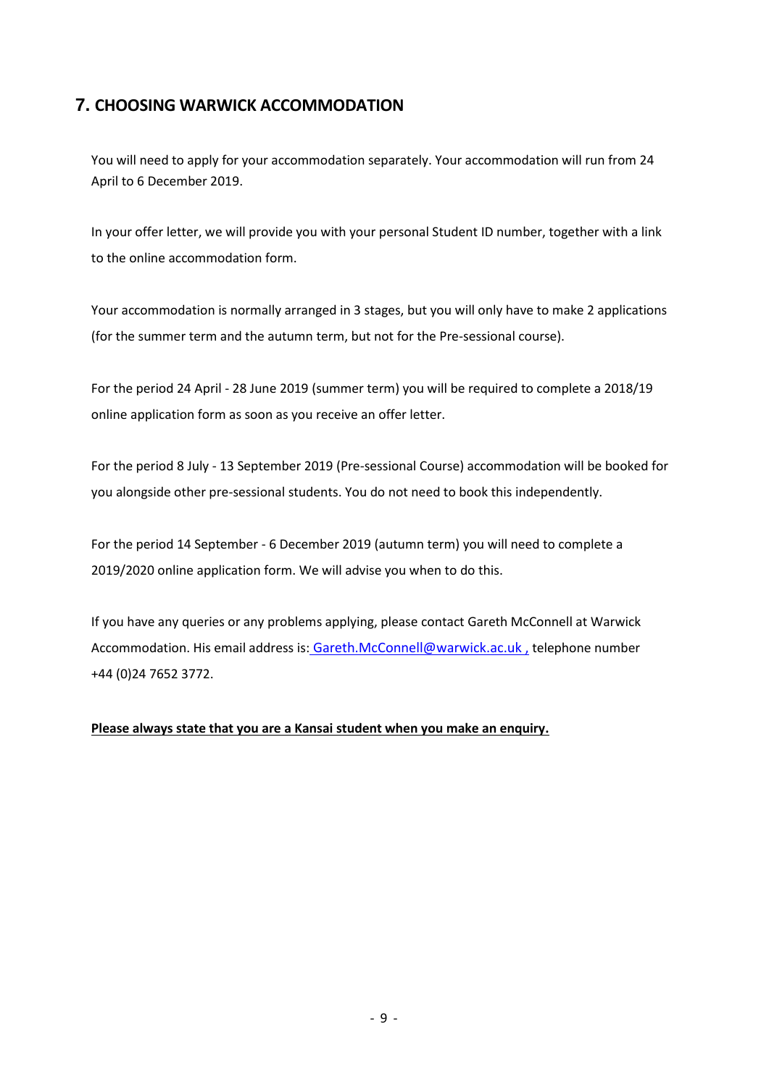# **7. CHOOSING WARWICK ACCOMMODATION**

You will need to apply for your accommodation separately. Your accommodation will run from 24 April to 6 December 2019.

In your offer letter, we will provide you with your personal Student ID number, together with a link to the online accommodation form.

Your accommodation is normally arranged in 3 stages, but you will only have to make 2 applications (for the summer term and the autumn term, but not for the Pre-sessional course).

For the period 24 April - 28 June 2019 (summer term) you will be required to complete a 2018/19 online application form as soon as you receive an offer letter.

For the period 8 July - 13 September 2019 (Pre-sessional Course) accommodation will be booked for you alongside other pre-sessional students. You do not need to book this independently.

For the period 14 September - 6 December 2019 (autumn term) you will need to complete a 2019/2020 online application form. We will advise you when to do this.

If you have any queries or any problems applying, please contact Gareth McConnell at Warwick Accommodation. His email address is: [Gareth.McConnell@warwick.ac.uk](mailto:Gareth.McConnell@warwick.ac.uk) , telephone number +44 (0)24 7652 3772.

**Please always state that you are a Kansai student when you make an enquiry.**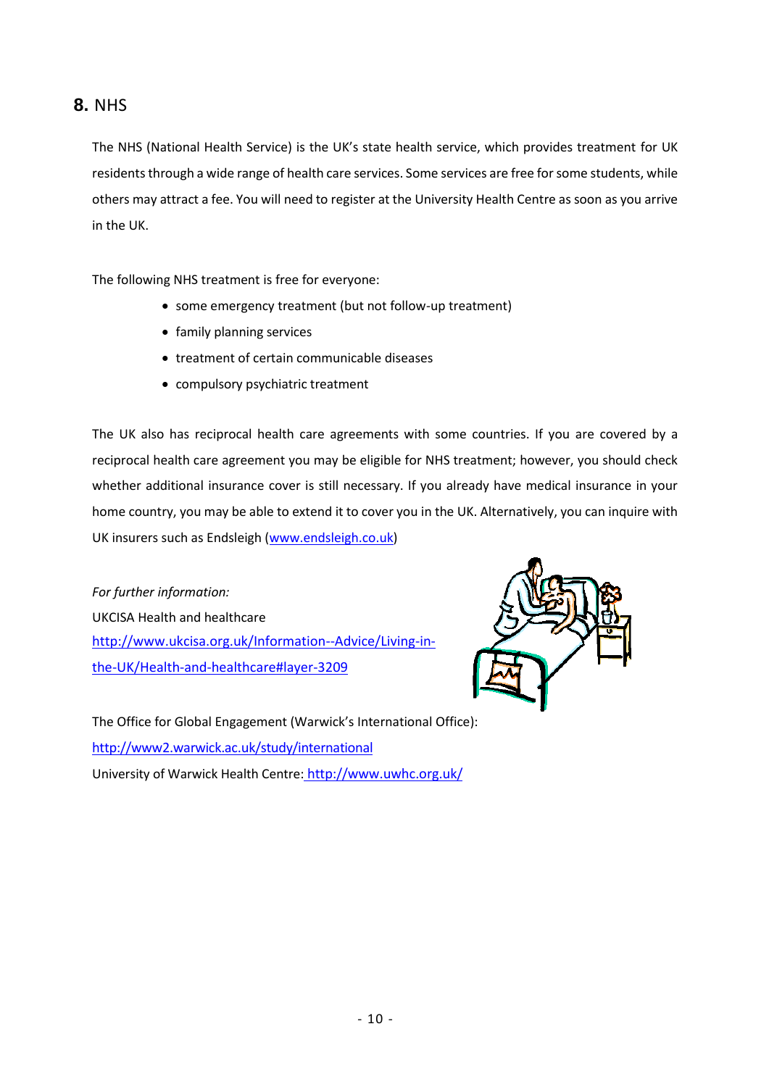# **8.** NHS

The NHS (National Health Service) is the UK's state health service, which provides treatment for UK residents through a wide range of health care services. Some services are free for some students, while others may attract a fee. You will need to register at the University Health Centre as soon as you arrive in the UK.

The following NHS treatment is free for everyone:

- some emergency treatment (but not follow-up treatment)
- family planning services
- treatment of certain communicable diseases
- compulsory psychiatric treatment

The UK also has reciprocal health care agreements with some countries. If you are covered by a reciprocal health care agreement you may be eligible for NHS treatment; however, you should check whether additional insurance cover is still necessary. If you already have medical insurance in your home country, you may be able to extend it to cover you in the UK. Alternatively, you can inquire with UK insurers such as Endsleigh [\(www.endsleigh.co.uk\)](http://www.endsleigh.co.uk/)

*For further information:* UKCISA Health and healthcare [http://www.ukcisa.org.uk/Information--Advice/Living-in](http://www.ukcisa.org.uk/Information--Advice/Living-in-the-UK/Health-and-healthcare#layer-3209)[the-UK/Health-and-healthcare#layer-3209](http://www.ukcisa.org.uk/Information--Advice/Living-in-the-UK/Health-and-healthcare#layer-3209)



The Office for Global Engagement (Warwick's International Office): <http://www2.warwick.ac.uk/study/international> University of Warwick Health Centre: http://www.uwhc.org.uk/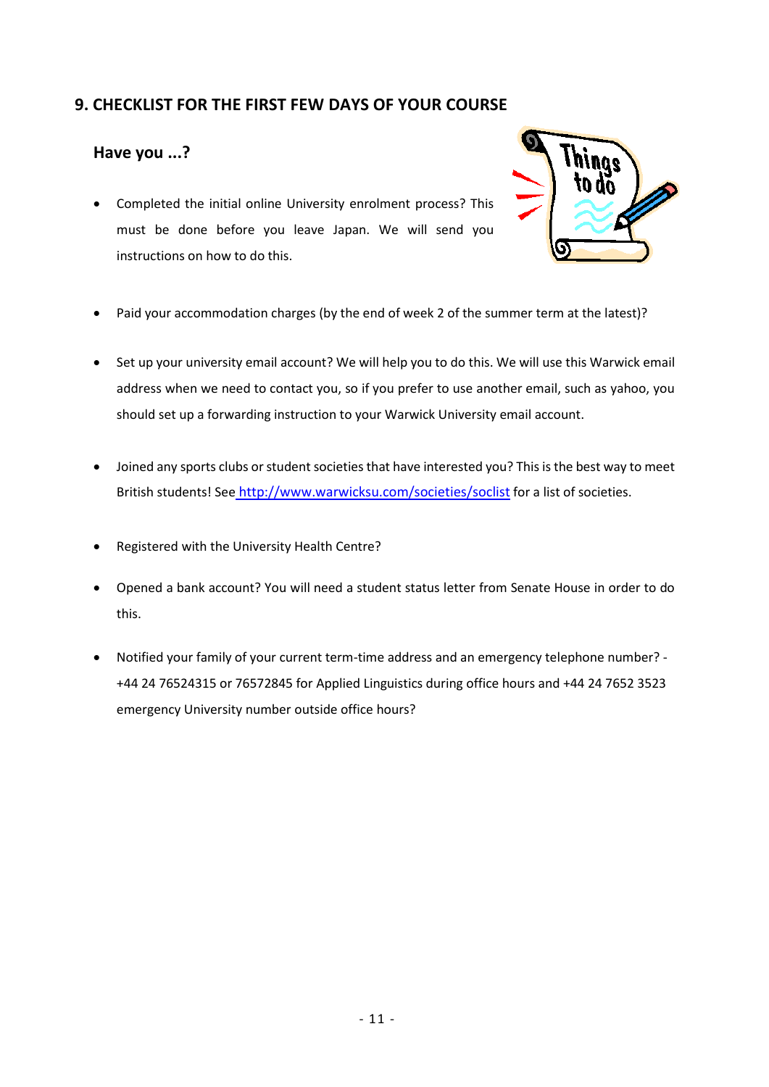### **9. CHECKLIST FOR THE FIRST FEW DAYS OF YOUR COURSE**

### **Have you ...?**

 Completed the initial online University enrolment process? This must be done before you leave Japan. We will send you instructions on how to do this.



- Paid your accommodation charges (by the end of week 2 of the summer term at the latest)?
- Set up your university email account? We will help you to do this. We will use this Warwick email address when we need to contact you, so if you prefer to use another email, such as yahoo, you should set up a forwarding instruction to your Warwick University email account.
- Joined any sports clubs or student societies that have interested you? This is the best way to meet British students! See <http://www.warwicksu.com/societies/soclist> for a list of societies.
- Registered with the University Health Centre?
- Opened a bank account? You will need a student status letter from Senate House in order to do this.
- Notified your family of your current term-time address and an emergency telephone number? +44 24 76524315 or 76572845 for Applied Linguistics during office hours and +44 24 7652 3523 emergency University number outside office hours?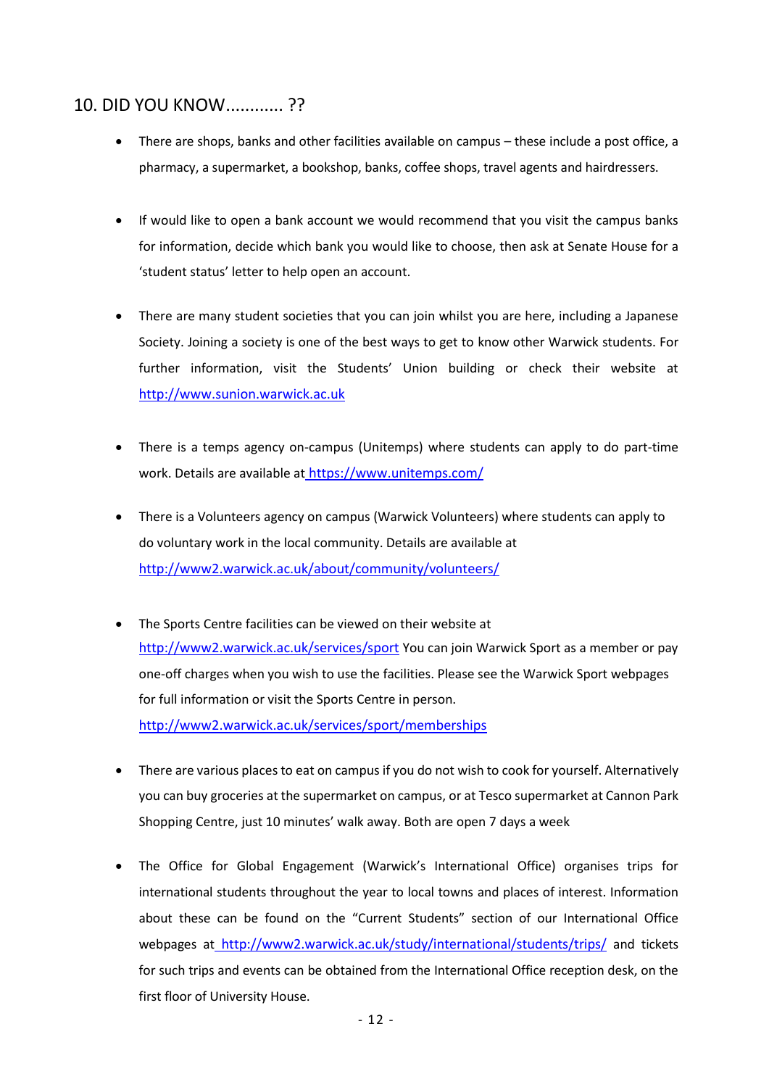# 10. DID YOU KNOW............ ??

- There are shops, banks and other facilities available on campus these include a post office, a pharmacy, a supermarket, a bookshop, banks, coffee shops, travel agents and hairdressers.
- If would like to open a bank account we would recommend that you visit the campus banks for information, decide which bank you would like to choose, then ask at Senate House for a 'student status' letter to help open an account.
- There are many student societies that you can join whilst you are here, including a Japanese Society. Joining a society is one of the best ways to get to know other Warwick students. For further information, visit the Students' Union building or check their website at [http://www.sunion.warwick.ac.uk](http://www.sunion.warwick.ac.uk/)
- There is a temps agency on-campus (Unitemps) where students can apply to do part-time work. Details are available at https://www.unitemps.com/
- There is a Volunteers agency on campus (Warwick Volunteers) where students can apply to do voluntary work in the local community. Details are available at <http://www2.warwick.ac.uk/about/community/volunteers/>
- The Sports Centre facilities can be viewed on their website at <http://www2.warwick.ac.uk/services/sport> You can join Warwick Sport as a member or pay one-off charges when you wish to use the facilities. Please see the Warwick Sport webpages for full information or visit the Sports Centre in person. <http://www2.warwick.ac.uk/services/sport/memberships>
- There are various places to eat on campus if you do not wish to cook for yourself. Alternatively you can buy groceries at the supermarket on campus, or at Tesco supermarket at Cannon Park Shopping Centre, just 10 minutes' walk away. Both are open 7 days a week
- The Office for Global Engagement (Warwick's International Office) organises trips for international students throughout the year to local towns and places of interest. Information about these can be found on the "Current Students" section of our International Office webpages at <http://www2.warwick.ac.uk/study/international/students/trips/> and tickets for such trips and events can be obtained from the International Office reception desk, on the first floor of University House.